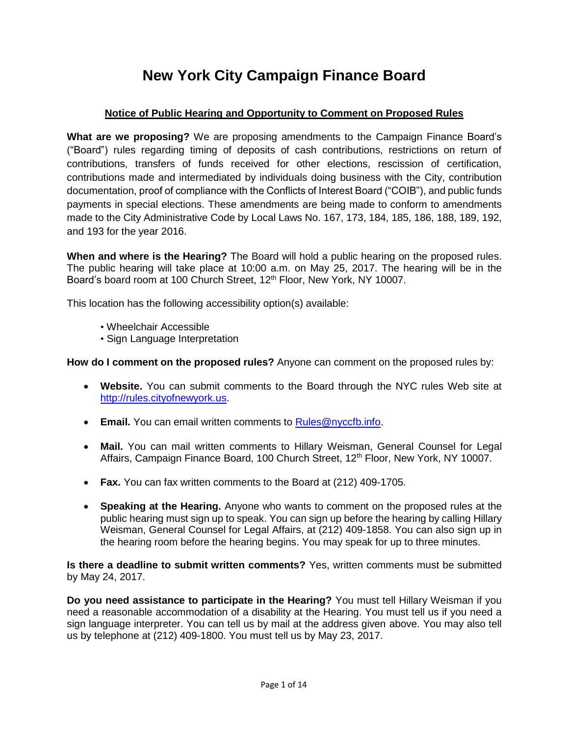# **New York City Campaign Finance Board**

## **Notice of Public Hearing and Opportunity to Comment on Proposed Rules**

**What are we proposing?** We are proposing amendments to the Campaign Finance Board's ("Board") rules regarding timing of deposits of cash contributions, restrictions on return of contributions, transfers of funds received for other elections, rescission of certification, contributions made and intermediated by individuals doing business with the City, contribution documentation, proof of compliance with the Conflicts of Interest Board ("COIB"), and public funds payments in special elections. These amendments are being made to conform to amendments made to the City Administrative Code by Local Laws No. 167, 173, 184, 185, 186, 188, 189, 192, and 193 for the year 2016.

**When and where is the Hearing?** The Board will hold a public hearing on the proposed rules. The public hearing will take place at 10:00 a.m. on May 25, 2017. The hearing will be in the Board's board room at 100 Church Street, 12<sup>th</sup> Floor, New York, NY 10007.

This location has the following accessibility option(s) available:

- Wheelchair Accessible
- Sign Language Interpretation

**How do I comment on the proposed rules?** Anyone can comment on the proposed rules by:

- **Website.** You can submit comments to the Board through the NYC rules Web site at [http://rules.cityofnewyork.us.](http://rules.cityofnewyork.us/)
- **Email.** You can email written comments to [Rules@nyccfb.info.](mailto:Rules@nyccfb.info)
- **Mail.** You can mail written comments to Hillary Weisman, General Counsel for Legal Affairs, Campaign Finance Board, 100 Church Street, 12<sup>th</sup> Floor, New York, NY 10007.
- **Fax.** You can fax written comments to the Board at (212) 409-1705.
- **Speaking at the Hearing.** Anyone who wants to comment on the proposed rules at the public hearing must sign up to speak. You can sign up before the hearing by calling Hillary Weisman, General Counsel for Legal Affairs, at (212) 409-1858. You can also sign up in the hearing room before the hearing begins. You may speak for up to three minutes.

**Is there a deadline to submit written comments?** Yes, written comments must be submitted by May 24, 2017.

**Do you need assistance to participate in the Hearing?** You must tell Hillary Weisman if you need a reasonable accommodation of a disability at the Hearing. You must tell us if you need a sign language interpreter. You can tell us by mail at the address given above. You may also tell us by telephone at (212) 409-1800. You must tell us by May 23, 2017.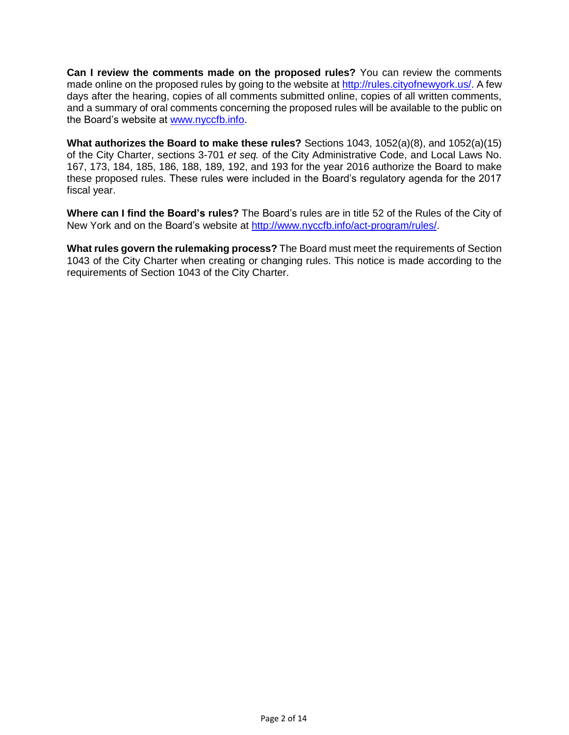**Can I review the comments made on the proposed rules?** You can review the comments made online on the proposed rules by going to the website at [http://rules.cityofnewyork.us/.](http://rules.cityofnewyork.us/) A few days after the hearing, copies of all comments submitted online, copies of all written comments, and a summary of oral comments concerning the proposed rules will be available to the public on the Board's website at [www.nyccfb.info.](http://www.nyccfb.info/)

**What authorizes the Board to make these rules?** Sections 1043, 1052(a)(8), and 1052(a)(15) of the City Charter, sections 3-701 *et seq.* of the City Administrative Code, and Local Laws No. 167, 173, 184, 185, 186, 188, 189, 192, and 193 for the year 2016 authorize the Board to make these proposed rules. These rules were included in the Board's regulatory agenda for the 2017 fiscal year.

**Where can I find the Board's rules?** The Board's rules are in title 52 of the Rules of the City of New York and on the Board's website at [http://www.nyccfb.info/act-program/rules/.](http://www.nyccfb.info/act-program/rules/)

**What rules govern the rulemaking process?** The Board must meet the requirements of Section 1043 of the City Charter when creating or changing rules. This notice is made according to the requirements of Section 1043 of the City Charter.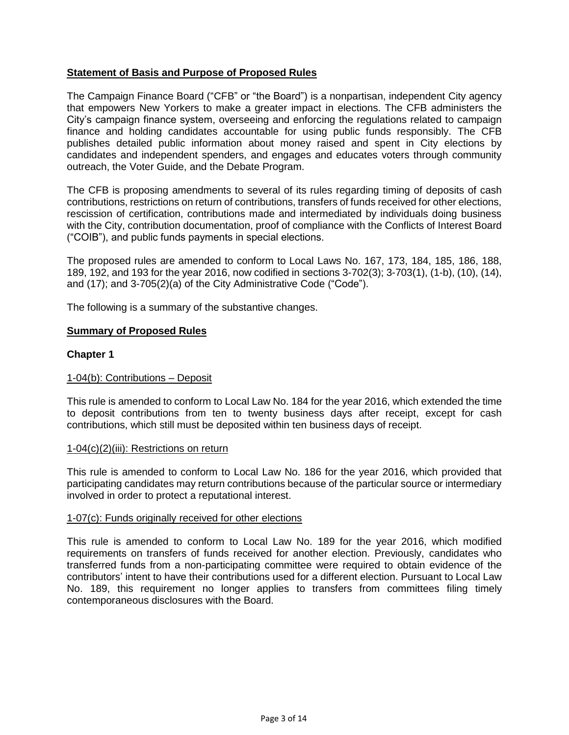### **Statement of Basis and Purpose of Proposed Rules**

The Campaign Finance Board ("CFB" or "the Board") is a nonpartisan, independent City agency that empowers New Yorkers to make a greater impact in elections. The CFB administers the City's campaign finance system, overseeing and enforcing the regulations related to campaign finance and holding candidates accountable for using public funds responsibly. The CFB publishes detailed public information about money raised and spent in City elections by candidates and independent spenders, and engages and educates voters through community outreach, the Voter Guide, and the Debate Program.

The CFB is proposing amendments to several of its rules regarding timing of deposits of cash contributions, restrictions on return of contributions, transfers of funds received for other elections, rescission of certification, contributions made and intermediated by individuals doing business with the City, contribution documentation, proof of compliance with the Conflicts of Interest Board ("COIB"), and public funds payments in special elections.

The proposed rules are amended to conform to Local Laws No. 167, 173, 184, 185, 186, 188, 189, 192, and 193 for the year 2016, now codified in sections 3-702(3); 3-703(1), (1-b), (10), (14), and (17); and 3-705(2)(a) of the City Administrative Code ("Code").

The following is a summary of the substantive changes.

### **Summary of Proposed Rules**

### **Chapter 1**

#### 1-04(b): Contributions – Deposit

This rule is amended to conform to Local Law No. 184 for the year 2016, which extended the time to deposit contributions from ten to twenty business days after receipt, except for cash contributions, which still must be deposited within ten business days of receipt.

#### 1-04(c)(2)(iii): Restrictions on return

This rule is amended to conform to Local Law No. 186 for the year 2016, which provided that participating candidates may return contributions because of the particular source or intermediary involved in order to protect a reputational interest.

#### 1-07(c): Funds originally received for other elections

This rule is amended to conform to Local Law No. 189 for the year 2016, which modified requirements on transfers of funds received for another election. Previously, candidates who transferred funds from a non-participating committee were required to obtain evidence of the contributors' intent to have their contributions used for a different election. Pursuant to Local Law No. 189, this requirement no longer applies to transfers from committees filing timely contemporaneous disclosures with the Board.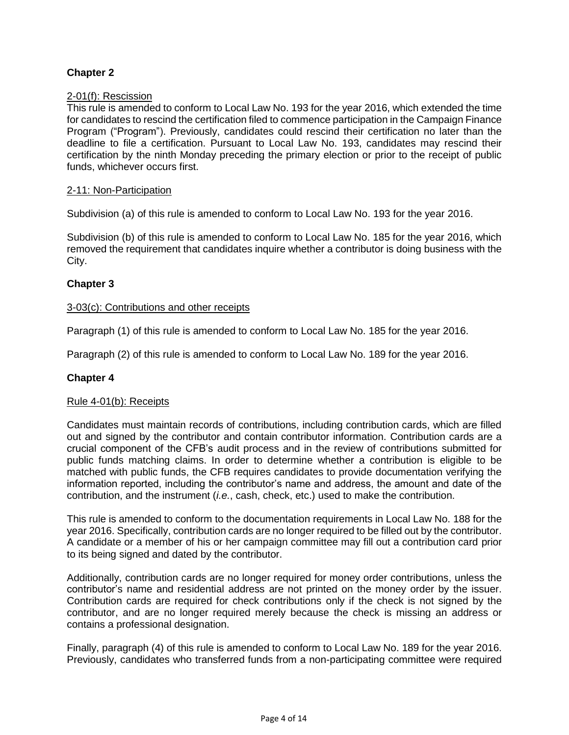### **Chapter 2**

#### 2-01(f): Rescission

This rule is amended to conform to Local Law No. 193 for the year 2016, which extended the time for candidates to rescind the certification filed to commence participation in the Campaign Finance Program ("Program"). Previously, candidates could rescind their certification no later than the deadline to file a certification. Pursuant to Local Law No. 193, candidates may rescind their certification by the ninth Monday preceding the primary election or prior to the receipt of public funds, whichever occurs first.

#### 2-11: Non-Participation

Subdivision (a) of this rule is amended to conform to Local Law No. 193 for the year 2016.

Subdivision (b) of this rule is amended to conform to Local Law No. 185 for the year 2016, which removed the requirement that candidates inquire whether a contributor is doing business with the City.

### **Chapter 3**

#### 3-03(c): Contributions and other receipts

Paragraph (1) of this rule is amended to conform to Local Law No. 185 for the year 2016.

Paragraph (2) of this rule is amended to conform to Local Law No. 189 for the year 2016.

#### **Chapter 4**

#### Rule 4-01(b): Receipts

Candidates must maintain records of contributions, including contribution cards, which are filled out and signed by the contributor and contain contributor information. Contribution cards are a crucial component of the CFB's audit process and in the review of contributions submitted for public funds matching claims. In order to determine whether a contribution is eligible to be matched with public funds, the CFB requires candidates to provide documentation verifying the information reported, including the contributor's name and address, the amount and date of the contribution, and the instrument (*i.e.*, cash, check, etc.) used to make the contribution.

This rule is amended to conform to the documentation requirements in Local Law No. 188 for the year 2016. Specifically, contribution cards are no longer required to be filled out by the contributor. A candidate or a member of his or her campaign committee may fill out a contribution card prior to its being signed and dated by the contributor.

Additionally, contribution cards are no longer required for money order contributions, unless the contributor's name and residential address are not printed on the money order by the issuer. Contribution cards are required for check contributions only if the check is not signed by the contributor, and are no longer required merely because the check is missing an address or contains a professional designation.

Finally, paragraph (4) of this rule is amended to conform to Local Law No. 189 for the year 2016. Previously, candidates who transferred funds from a non-participating committee were required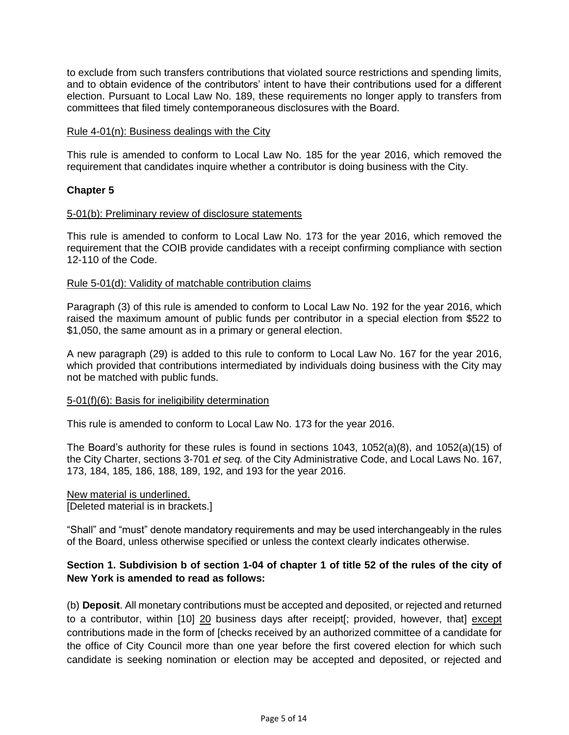to exclude from such transfers contributions that violated source restrictions and spending limits, and to obtain evidence of the contributors' intent to have their contributions used for a different election. Pursuant to Local Law No. 189, these requirements no longer apply to transfers from committees that filed timely contemporaneous disclosures with the Board.

#### Rule 4-01(n): Business dealings with the City

This rule is amended to conform to Local Law No. 185 for the year 2016, which removed the requirement that candidates inquire whether a contributor is doing business with the City.

#### **Chapter 5**

#### 5-01(b): Preliminary review of disclosure statements

This rule is amended to conform to Local Law No. 173 for the year 2016, which removed the requirement that the COIB provide candidates with a receipt confirming compliance with section 12-110 of the Code.

#### Rule 5-01(d): Validity of matchable contribution claims

Paragraph (3) of this rule is amended to conform to Local Law No. 192 for the year 2016, which raised the maximum amount of public funds per contributor in a special election from \$522 to \$1,050, the same amount as in a primary or general election.

A new paragraph (29) is added to this rule to conform to Local Law No. 167 for the year 2016, which provided that contributions intermediated by individuals doing business with the City may not be matched with public funds.

#### 5-01(f)(6): Basis for ineligibility determination

This rule is amended to conform to Local Law No. 173 for the year 2016.

The Board's authority for these rules is found in sections 1043, 1052(a)(8), and 1052(a)(15) of the City Charter, sections 3-701 *et seq.* of the City Administrative Code, and Local Laws No. 167, 173, 184, 185, 186, 188, 189, 192, and 193 for the year 2016.

#### New material is underlined. [Deleted material is in brackets.]

"Shall" and "must" denote mandatory requirements and may be used interchangeably in the rules of the Board, unless otherwise specified or unless the context clearly indicates otherwise.

### **Section 1. Subdivision b of section 1-04 of chapter 1 of title 52 of the rules of the city of New York is amended to read as follows:**

(b) **Deposit**. All monetary contributions must be accepted and deposited, or rejected and returned to a contributor, within [10] 20 business days after receipt[; provided, however, that] except contributions made in the form of [checks received by an authorized committee of a candidate for the office of City Council more than one year before the first covered election for which such candidate is seeking nomination or election may be accepted and deposited, or rejected and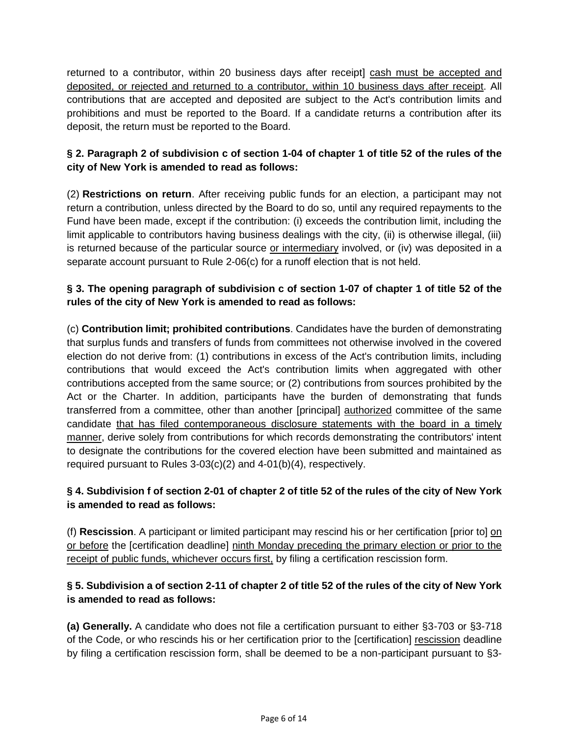returned to a contributor, within 20 business days after receipt] cash must be accepted and deposited, or rejected and returned to a contributor, within 10 business days after receipt. All contributions that are accepted and deposited are subject to the Act's contribution limits and prohibitions and must be reported to the Board. If a candidate returns a contribution after its deposit, the return must be reported to the Board.

# **§ 2. Paragraph 2 of subdivision c of section 1-04 of chapter 1 of title 52 of the rules of the city of New York is amended to read as follows:**

(2) **Restrictions on return**. After receiving public funds for an election, a participant may not return a contribution, unless directed by the Board to do so, until any required repayments to the Fund have been made, except if the contribution: (i) exceeds the contribution limit, including the limit applicable to contributors having business dealings with the city, (ii) is otherwise illegal, (iii) is returned because of the particular source or intermediary involved, or (iv) was deposited in a separate account pursuant to Rule 2-06(c) for a runoff election that is not held.

# **§ 3. The opening paragraph of subdivision c of section 1-07 of chapter 1 of title 52 of the rules of the city of New York is amended to read as follows:**

(c) **Contribution limit; prohibited contributions**. Candidates have the burden of demonstrating that surplus funds and transfers of funds from committees not otherwise involved in the covered election do not derive from: (1) contributions in excess of the Act's contribution limits, including contributions that would exceed the Act's contribution limits when aggregated with other contributions accepted from the same source; or (2) contributions from sources prohibited by the Act or the Charter. In addition, participants have the burden of demonstrating that funds transferred from a committee, other than another [principal] authorized committee of the same candidate that has filed contemporaneous disclosure statements with the board in a timely manner, derive solely from contributions for which records demonstrating the contributors' intent to designate the contributions for the covered election have been submitted and maintained as required pursuant to Rules 3-03(c)(2) and 4-01(b)(4), respectively.

## **§ 4. Subdivision f of section 2-01 of chapter 2 of title 52 of the rules of the city of New York is amended to read as follows:**

(f) **Rescission**. A participant or limited participant may rescind his or her certification [prior to] on or before the [certification deadline] ninth Monday preceding the primary election or prior to the receipt of public funds, whichever occurs first, by filing a certification rescission form.

## **§ 5. Subdivision a of section 2-11 of chapter 2 of title 52 of the rules of the city of New York is amended to read as follows:**

**(a) Generally.** A candidate who does not file a certification pursuant to either §3-703 or §3-718 of the Code, or who rescinds his or her certification prior to the [certification] rescission deadline by filing a certification rescission form, shall be deemed to be a non-participant pursuant to §3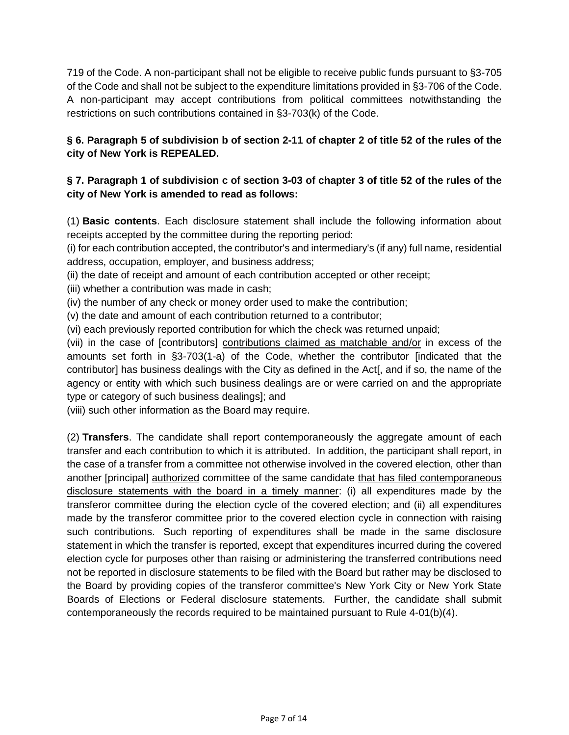719 of the Code. A non-participant shall not be eligible to receive public funds pursuant to §3-705 of the Code and shall not be subject to the expenditure limitations provided in §3-706 of the Code. A non-participant may accept contributions from political committees notwithstanding the restrictions on such contributions contained in §3-703(k) of the Code.

# **§ 6. Paragraph 5 of subdivision b of section 2-11 of chapter 2 of title 52 of the rules of the city of New York is REPEALED.**

# **§ 7. Paragraph 1 of subdivision c of section 3-03 of chapter 3 of title 52 of the rules of the city of New York is amended to read as follows:**

(1) **Basic contents**. Each disclosure statement shall include the following information about receipts accepted by the committee during the reporting period:

(i) for each contribution accepted, the contributor's and intermediary's (if any) full name, residential address, occupation, employer, and business address;

(ii) the date of receipt and amount of each contribution accepted or other receipt;

(iii) whether a contribution was made in cash;

(iv) the number of any check or money order used to make the contribution;

(v) the date and amount of each contribution returned to a contributor;

(vi) each previously reported contribution for which the check was returned unpaid;

(vii) in the case of [contributors] contributions claimed as matchable and/or in excess of the amounts set forth in §3-703(1-a) of the Code, whether the contributor [indicated that the contributor] has business dealings with the City as defined in the Act[, and if so, the name of the agency or entity with which such business dealings are or were carried on and the appropriate type or category of such business dealings]; and

(viii) such other information as the Board may require.

(2) **Transfers**. The candidate shall report contemporaneously the aggregate amount of each transfer and each contribution to which it is attributed. In addition, the participant shall report, in the case of a transfer from a committee not otherwise involved in the covered election, other than another [principal] authorized committee of the same candidate that has filed contemporaneous disclosure statements with the board in a timely manner: (i) all expenditures made by the transferor committee during the election cycle of the covered election; and (ii) all expenditures made by the transferor committee prior to the covered election cycle in connection with raising such contributions. Such reporting of expenditures shall be made in the same disclosure statement in which the transfer is reported, except that expenditures incurred during the covered election cycle for purposes other than raising or administering the transferred contributions need not be reported in disclosure statements to be filed with the Board but rather may be disclosed to the Board by providing copies of the transferor committee's New York City or New York State Boards of Elections or Federal disclosure statements. Further, the candidate shall submit contemporaneously the records required to be maintained pursuant to Rule 4-01(b)(4).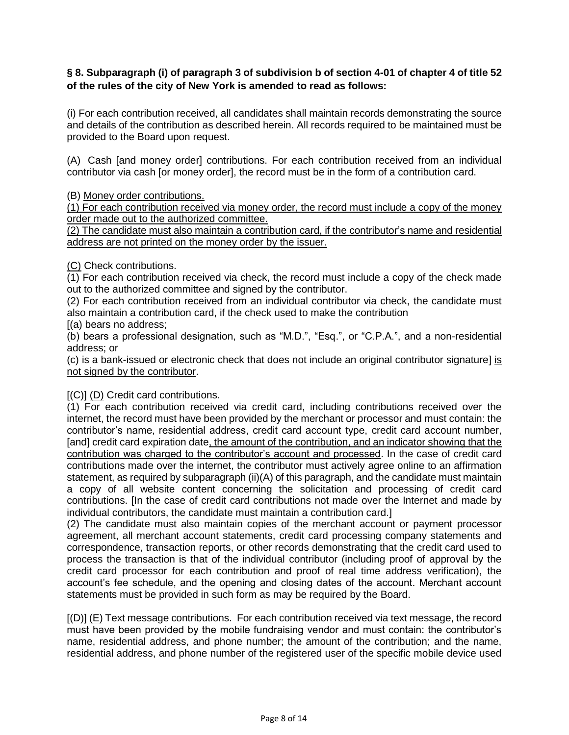### **§ 8. Subparagraph (i) of paragraph 3 of subdivision b of section 4-01 of chapter 4 of title 52 of the rules of the city of New York is amended to read as follows:**

(i) For each contribution received, all candidates shall maintain records demonstrating the source and details of the contribution as described herein. All records required to be maintained must be provided to the Board upon request.

(A) Cash [and money order] contributions. For each contribution received from an individual contributor via cash [or money order], the record must be in the form of a contribution card.

(B) Money order contributions.

(1) For each contribution received via money order, the record must include a copy of the money order made out to the authorized committee.

(2) The candidate must also maintain a contribution card, if the contributor's name and residential address are not printed on the money order by the issuer.

(C) Check contributions.

(1) For each contribution received via check, the record must include a copy of the check made out to the authorized committee and signed by the contributor.

(2) For each contribution received from an individual contributor via check, the candidate must also maintain a contribution card, if the check used to make the contribution [(a) bears no address;

(b) bears a professional designation, such as "M.D.", "Esq.", or "C.P.A.", and a non-residential address; or

(c) is a bank-issued or electronic check that does not include an original contributor signature] is not signed by the contributor.

### [(C)] (D) Credit card contributions*.*

(1) For each contribution received via credit card, including contributions received over the internet, the record must have been provided by the merchant or processor and must contain: the contributor's name, residential address, credit card account type, credit card account number, [and] credit card expiration date, the amount of the contribution, and an indicator showing that the contribution was charged to the contributor's account and processed. In the case of credit card contributions made over the internet, the contributor must actively agree online to an affirmation statement, as required by subparagraph (ii)(A) of this paragraph, and the candidate must maintain a copy of all website content concerning the solicitation and processing of credit card contributions. [In the case of credit card contributions not made over the Internet and made by individual contributors, the candidate must maintain a contribution card.]

(2) The candidate must also maintain copies of the merchant account or payment processor agreement, all merchant account statements, credit card processing company statements and correspondence, transaction reports, or other records demonstrating that the credit card used to process the transaction is that of the individual contributor (including proof of approval by the credit card processor for each contribution and proof of real time address verification), the account's fee schedule, and the opening and closing dates of the account. Merchant account statements must be provided in such form as may be required by the Board.

[(D)] (E) Text message contributions. For each contribution received via text message, the record must have been provided by the mobile fundraising vendor and must contain: the contributor's name, residential address, and phone number; the amount of the contribution; and the name, residential address, and phone number of the registered user of the specific mobile device used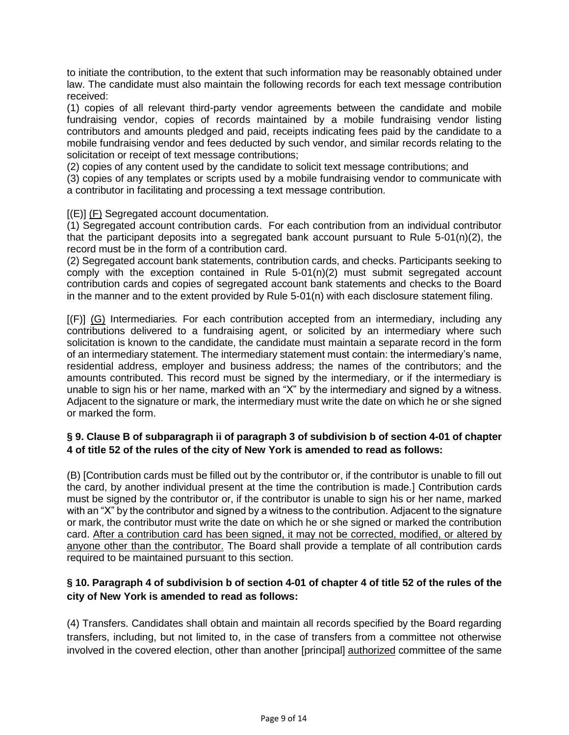to initiate the contribution, to the extent that such information may be reasonably obtained under law. The candidate must also maintain the following records for each text message contribution received:

(1) copies of all relevant third-party vendor agreements between the candidate and mobile fundraising vendor, copies of records maintained by a mobile fundraising vendor listing contributors and amounts pledged and paid, receipts indicating fees paid by the candidate to a mobile fundraising vendor and fees deducted by such vendor, and similar records relating to the solicitation or receipt of text message contributions;

(2) copies of any content used by the candidate to solicit text message contributions; and

(3) copies of any templates or scripts used by a mobile fundraising vendor to communicate with a contributor in facilitating and processing a text message contribution.

[(E)] (F) Segregated account documentation*.*

(1) Segregated account contribution cards. For each contribution from an individual contributor that the participant deposits into a segregated bank account pursuant to Rule  $5-01(n)(2)$ , the record must be in the form of a contribution card.

(2) Segregated account bank statements, contribution cards, and checks. Participants seeking to comply with the exception contained in Rule  $5-01(n)(2)$  must submit segregated account contribution cards and copies of segregated account bank statements and checks to the Board in the manner and to the extent provided by Rule 5-01(n) with each disclosure statement filing.

[(F)] (G) Intermediaries*.* For each contribution accepted from an intermediary, including any contributions delivered to a fundraising agent, or solicited by an intermediary where such solicitation is known to the candidate, the candidate must maintain a separate record in the form of an intermediary statement. The intermediary statement must contain: the intermediary's name, residential address, employer and business address; the names of the contributors; and the amounts contributed. This record must be signed by the intermediary, or if the intermediary is unable to sign his or her name, marked with an "X" by the intermediary and signed by a witness. Adjacent to the signature or mark, the intermediary must write the date on which he or she signed or marked the form.

## **§ 9. Clause B of subparagraph ii of paragraph 3 of subdivision b of section 4-01 of chapter 4 of title 52 of the rules of the city of New York is amended to read as follows:**

(B) [Contribution cards must be filled out by the contributor or, if the contributor is unable to fill out the card, by another individual present at the time the contribution is made.] Contribution cards must be signed by the contributor or, if the contributor is unable to sign his or her name, marked with an "X" by the contributor and signed by a witness to the contribution. Adjacent to the signature or mark, the contributor must write the date on which he or she signed or marked the contribution card. After a contribution card has been signed, it may not be corrected, modified, or altered by anyone other than the contributor. The Board shall provide a template of all contribution cards required to be maintained pursuant to this section.

## **§ 10. Paragraph 4 of subdivision b of section 4-01 of chapter 4 of title 52 of the rules of the city of New York is amended to read as follows:**

(4) Transfers. Candidates shall obtain and maintain all records specified by the Board regarding transfers, including, but not limited to, in the case of transfers from a committee not otherwise involved in the covered election, other than another [principal] authorized committee of the same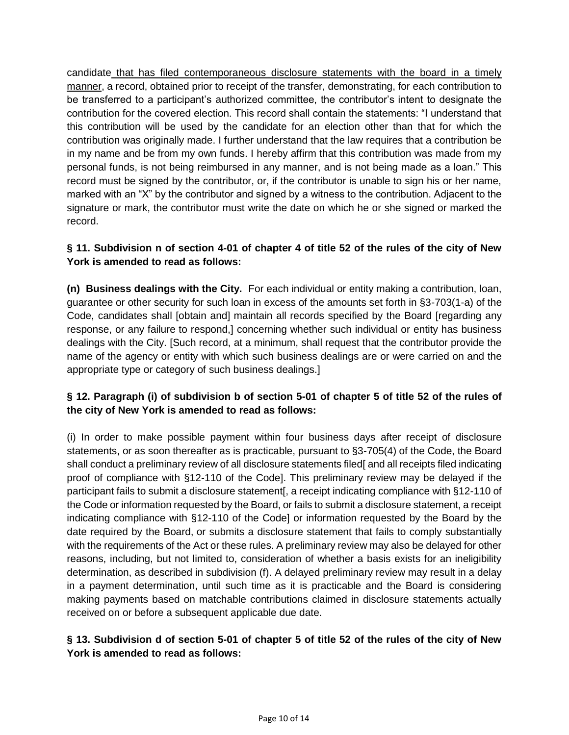candidate that has filed contemporaneous disclosure statements with the board in a timely manner, a record, obtained prior to receipt of the transfer, demonstrating, for each contribution to be transferred to a participant's authorized committee, the contributor's intent to designate the contribution for the covered election. This record shall contain the statements: "I understand that this contribution will be used by the candidate for an election other than that for which the contribution was originally made. I further understand that the law requires that a contribution be in my name and be from my own funds. I hereby affirm that this contribution was made from my personal funds, is not being reimbursed in any manner, and is not being made as a loan." This record must be signed by the contributor, or, if the contributor is unable to sign his or her name, marked with an "X" by the contributor and signed by a witness to the contribution. Adjacent to the signature or mark, the contributor must write the date on which he or she signed or marked the record.

# **§ 11. Subdivision n of section 4-01 of chapter 4 of title 52 of the rules of the city of New York is amended to read as follows:**

**(n) Business dealings with the City.** For each individual or entity making a contribution, loan, guarantee or other security for such loan in excess of the amounts set forth in §3-703(1-a) of the Code, candidates shall [obtain and] maintain all records specified by the Board [regarding any response, or any failure to respond,] concerning whether such individual or entity has business dealings with the City. [Such record, at a minimum, shall request that the contributor provide the name of the agency or entity with which such business dealings are or were carried on and the appropriate type or category of such business dealings.]

# **§ 12. Paragraph (i) of subdivision b of section 5-01 of chapter 5 of title 52 of the rules of the city of New York is amended to read as follows:**

(i) In order to make possible payment within four business days after receipt of disclosure statements, or as soon thereafter as is practicable, pursuant to §3-705(4) of the Code, the Board shall conduct a preliminary review of all disclosure statements filed[ and all receipts filed indicating proof of compliance with §12-110 of the Code]. This preliminary review may be delayed if the participant fails to submit a disclosure statement[, a receipt indicating compliance with §12-110 of the Code or information requested by the Board, or fails to submit a disclosure statement, a receipt indicating compliance with §12-110 of the Code] or information requested by the Board by the date required by the Board, or submits a disclosure statement that fails to comply substantially with the requirements of the Act or these rules. A preliminary review may also be delayed for other reasons, including, but not limited to, consideration of whether a basis exists for an ineligibility determination, as described in subdivision (f). A delayed preliminary review may result in a delay in a payment determination, until such time as it is practicable and the Board is considering making payments based on matchable contributions claimed in disclosure statements actually received on or before a subsequent applicable due date.

## **§ 13. Subdivision d of section 5-01 of chapter 5 of title 52 of the rules of the city of New York is amended to read as follows:**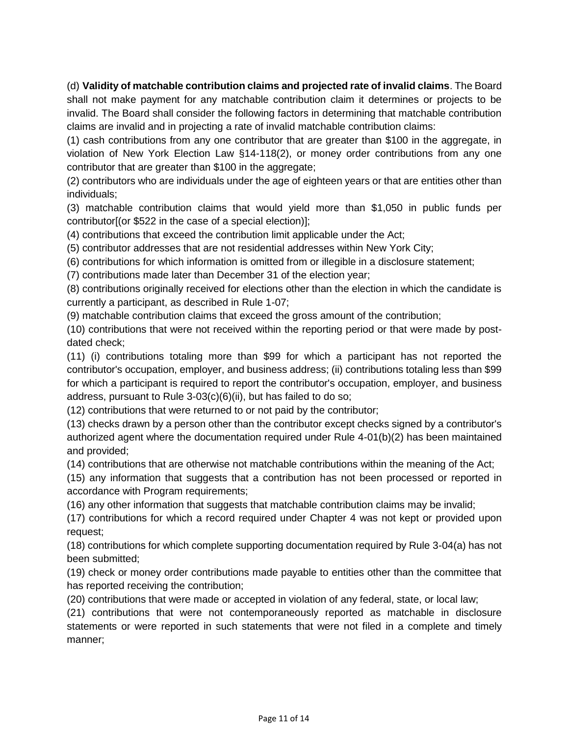(d) **Validity of matchable contribution claims and projected rate of invalid claims**. The Board shall not make payment for any matchable contribution claim it determines or projects to be invalid. The Board shall consider the following factors in determining that matchable contribution claims are invalid and in projecting a rate of invalid matchable contribution claims:

(1) cash contributions from any one contributor that are greater than \$100 in the aggregate, in violation of New York Election Law §14-118(2), or money order contributions from any one contributor that are greater than \$100 in the aggregate;

(2) contributors who are individuals under the age of eighteen years or that are entities other than individuals;

(3) matchable contribution claims that would yield more than \$1,050 in public funds per contributor[(or \$522 in the case of a special election)];

(4) contributions that exceed the contribution limit applicable under the Act;

(5) contributor addresses that are not residential addresses within New York City;

(6) contributions for which information is omitted from or illegible in a disclosure statement;

(7) contributions made later than December 31 of the election year;

(8) contributions originally received for elections other than the election in which the candidate is currently a participant, as described in Rule 1-07;

(9) matchable contribution claims that exceed the gross amount of the contribution;

(10) contributions that were not received within the reporting period or that were made by postdated check;

(11) (i) contributions totaling more than \$99 for which a participant has not reported the contributor's occupation, employer, and business address; (ii) contributions totaling less than \$99 for which a participant is required to report the contributor's occupation, employer, and business address, pursuant to Rule  $3-03(c)(6)(ii)$ , but has failed to do so;

(12) contributions that were returned to or not paid by the contributor;

(13) checks drawn by a person other than the contributor except checks signed by a contributor's authorized agent where the documentation required under Rule 4-01(b)(2) has been maintained and provided;

(14) contributions that are otherwise not matchable contributions within the meaning of the Act;

(15) any information that suggests that a contribution has not been processed or reported in accordance with Program requirements;

(16) any other information that suggests that matchable contribution claims may be invalid;

(17) contributions for which a record required under Chapter 4 was not kept or provided upon request;

(18) contributions for which complete supporting documentation required by Rule 3-04(a) has not been submitted;

(19) check or money order contributions made payable to entities other than the committee that has reported receiving the contribution;

(20) contributions that were made or accepted in violation of any federal, state, or local law;

(21) contributions that were not contemporaneously reported as matchable in disclosure statements or were reported in such statements that were not filed in a complete and timely manner;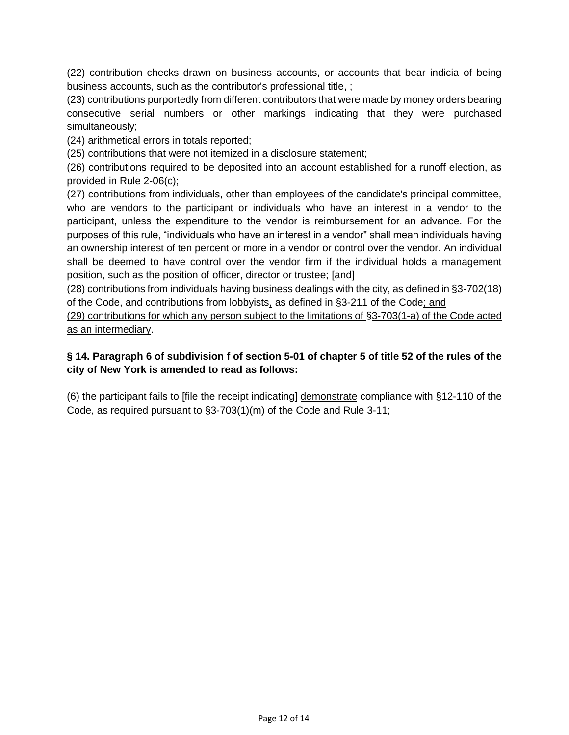(22) contribution checks drawn on business accounts, or accounts that bear indicia of being business accounts, such as the contributor's professional title, ;

(23) contributions purportedly from different contributors that were made by money orders bearing consecutive serial numbers or other markings indicating that they were purchased simultaneously;

(24) arithmetical errors in totals reported;

(25) contributions that were not itemized in a disclosure statement;

(26) contributions required to be deposited into an account established for a runoff election, as provided in Rule 2-06(c);

(27) contributions from individuals, other than employees of the candidate's principal committee, who are vendors to the participant or individuals who have an interest in a vendor to the participant, unless the expenditure to the vendor is reimbursement for an advance. For the purposes of this rule, "individuals who have an interest in a vendor" shall mean individuals having an ownership interest of ten percent or more in a vendor or control over the vendor. An individual shall be deemed to have control over the vendor firm if the individual holds a management position, such as the position of officer, director or trustee; [and]

(28) contributions from individuals having business dealings with the city, as defined in §3-702(18) of the Code, and contributions from lobbyists, as defined in §3-211 of the Code; and

(29) contributions for which any person subject to the limitations of §3-703(1-a) of the Code acted as an intermediary.

### **§ 14. Paragraph 6 of subdivision f of section 5-01 of chapter 5 of title 52 of the rules of the city of New York is amended to read as follows:**

(6) the participant fails to [file the receipt indicating] demonstrate compliance with §12-110 of the Code, as required pursuant to §3-703(1)(m) of the Code and Rule 3-11;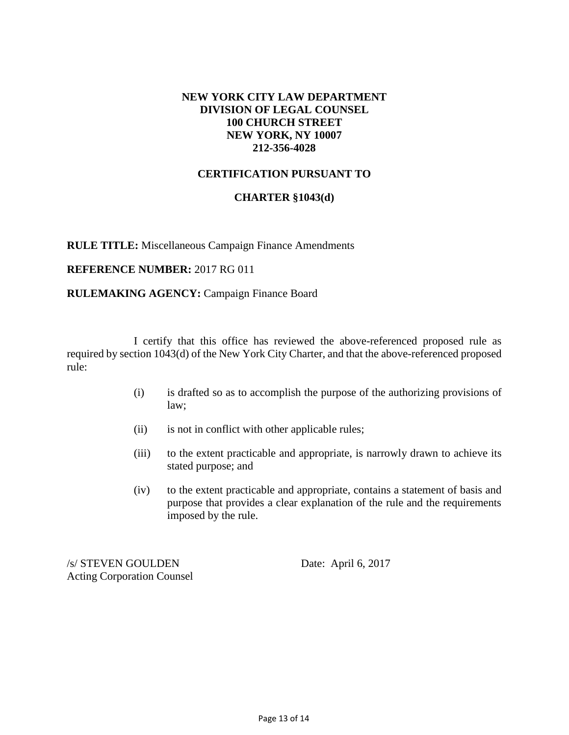### **NEW YORK CITY LAW DEPARTMENT DIVISION OF LEGAL COUNSEL 100 CHURCH STREET NEW YORK, NY 10007 212-356-4028**

### **CERTIFICATION PURSUANT TO**

### **CHARTER §1043(d)**

**RULE TITLE:** Miscellaneous Campaign Finance Amendments

#### **REFERENCE NUMBER:** 2017 RG 011

### **RULEMAKING AGENCY:** Campaign Finance Board

I certify that this office has reviewed the above-referenced proposed rule as required by section 1043(d) of the New York City Charter, and that the above-referenced proposed rule:

- (i) is drafted so as to accomplish the purpose of the authorizing provisions of law;
- (ii) is not in conflict with other applicable rules;
- (iii) to the extent practicable and appropriate, is narrowly drawn to achieve its stated purpose; and
- (iv) to the extent practicable and appropriate, contains a statement of basis and purpose that provides a clear explanation of the rule and the requirements imposed by the rule.

/s/ STEVEN GOULDEN Date: April 6, 2017 Acting Corporation Counsel